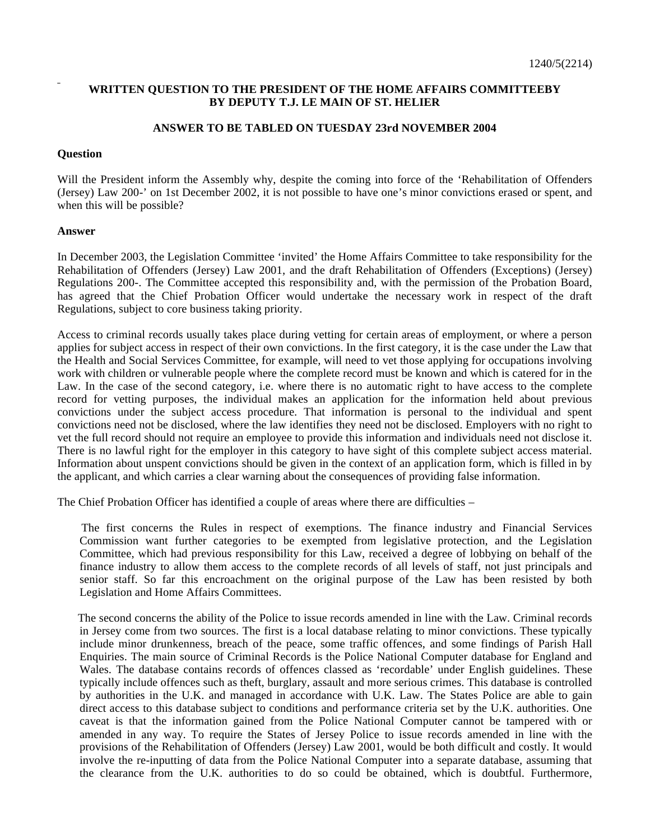## **WRITTEN QUESTION TO THE PRESIDENT OF THE HOME AFFAIRS COMMITTEEBY BY DEPUTY T.J. LE MAIN OF ST. HELIER**

## **ANSWER TO BE TABLED ON TUESDAY 23rd NOVEMBER 2004**

## **Question**

Will the President inform the Assembly why, despite the coming into force of the 'Rehabilitation of Offenders (Jersey) Law 200-' on 1st December 2002, it is not possible to have one's minor convictions erased or spent, and when this will be possible?

## **Answer**

In December 2003, the Legislation Committee 'invited' the Home Affairs Committee to take responsibility for the Rehabilitation of Offenders (Jersey) Law 2001, and the draft Rehabilitation of Offenders (Exceptions) (Jersey) Regulations 200-. The Committee accepted this responsibility and, with the permission of the Probation Board, has agreed that the Chief Probation Officer would undertake the necessary work in respect of the draft Regulations, subject to core business taking priority.

Access to criminal records usually takes place during vetting for certain areas of employment, or where a person applies for subject access in respect of their own convictions. In the first category, it is the case under the Law that the Health and Social Services Committee, for example, will need to vet those applying for occupations involving work with children or vulnerable people where the complete record must be known and which is catered for in the Law. In the case of the second category, i.e. where there is no automatic right to have access to the complete record for vetting purposes, the individual makes an application for the information held about previous convictions under the subject access procedure. That information is personal to the individual and spent convictions need not be disclosed, where the law identifies they need not be disclosed. Employers with no right to vet the full record should not require an employee to provide this information and individuals need not disclose it. There is no lawful right for the employer in this category to have sight of this complete subject access material. Information about unspent convictions should be given in the context of an application form, which is filled in by the applicant, and which carries a clear warning about the consequences of providing false information.

The Chief Probation Officer has identified a couple of areas where there are difficulties –

 The first concerns the Rules in respect of exemptions. The finance industry and Financial Services Commission want further categories to be exempted from legislative protection, and the Legislation Committee, which had previous responsibility for this Law, received a degree of lobbying on behalf of the finance industry to allow them access to the complete records of all levels of staff, not just principals and senior staff. So far this encroachment on the original purpose of the Law has been resisted by both Legislation and Home Affairs Committees.

 The second concerns the ability of the Police to issue records amended in line with the Law. Criminal records in Jersey come from two sources. The first is a local database relating to minor convictions. These typically include minor drunkenness, breach of the peace, some traffic offences, and some findings of Parish Hall Enquiries. The main source of Criminal Records is the Police National Computer database for England and Wales. The database contains records of offences classed as 'recordable' under English guidelines. These typically include offences such as theft, burglary, assault and more serious crimes. This database is controlled by authorities in the U.K. and managed in accordance with U.K. Law. The States Police are able to gain direct access to this database subject to conditions and performance criteria set by the U.K. authorities. One caveat is that the information gained from the Police National Computer cannot be tampered with or amended in any way. To require the States of Jersey Police to issue records amended in line with the provisions of the Rehabilitation of Offenders (Jersey) Law 2001, would be both difficult and costly. It would involve the re-inputting of data from the Police National Computer into a separate database, assuming that the clearance from the U.K. authorities to do so could be obtained, which is doubtful. Furthermore,